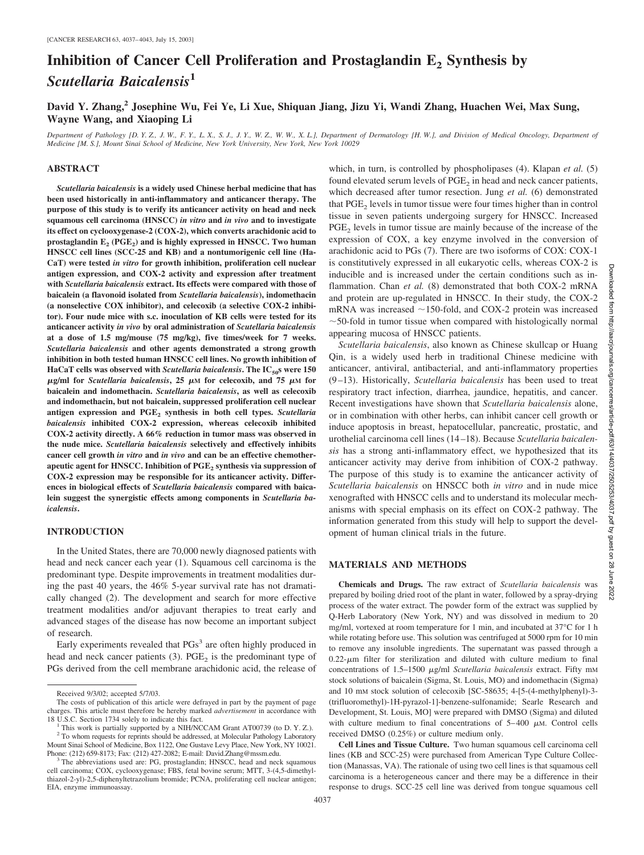# **Inhibition of Cancer Cell Proliferation and Prostaglandin E<sub>2</sub> Synthesis by** *Scutellaria Baicalensis***<sup>1</sup>**

**David Y. Zhang,2 Josephine Wu, Fei Ye, Li Xue, Shiquan Jiang, Jizu Yi, Wandi Zhang, Huachen Wei, Max Sung, Wayne Wang, and Xiaoping Li**

*Department of Pathology [D. Y. Z., J. W., F. Y., L. X., S. J., J. Y., W. Z., W. W., X. L.], Department of Dermatology [H. W.], and Division of Medical Oncology, Department of Medicine [M. S.], Mount Sinai School of Medicine, New York University, New York, New York 10029*

# **ABSTRACT**

*Scutellaria baicalensis* **is a widely used Chinese herbal medicine that has been used historically in anti-inflammatory and anticancer therapy. The purpose of this study is to verify its anticancer activity on head and neck squamous cell carcinoma (HNSCC)** *in vitro* **and** *in vivo* **and to investigate its effect on cyclooxygenase-2 (COX-2), which converts arachidonic acid to** prostaglandin E<sub>2</sub> (PGE<sub>2</sub>) and is highly expressed in HNSCC. Two human **HNSCC cell lines (SCC-25 and KB) and a nontumorigenic cell line (Ha-CaT) were tested** *in vitro* **for growth inhibition, proliferation cell nuclear antigen expression, and COX-2 activity and expression after treatment with** *Scutellaria baicalensis* **extract. Its effects were compared with those of baicalein (a flavonoid isolated from** *Scutellaria baicalensis***), indomethacin (a nonselective COX inhibitor), and celecoxib (a selective COX-2 inhibitor). Four nude mice with s.c. inoculation of KB cells were tested for its anticancer activity** *in vivo* **by oral administration of** *Scutellaria baicalensis* **at a dose of 1.5 mg/mouse (75 mg/kg), five times/week for 7 weeks.** *Scutellaria baicalensis* **and other agents demonstrated a strong growth inhibition in both tested human HNSCC cell lines. No growth inhibition of** HaCaT cells was observed with *Scutellaria baicalensis***.** The IC<sub>50</sub>s were 150  $\mu$ g/ml for *Scutellaria baicalensis*, 25  $\mu$ M for celecoxib, and 75  $\mu$ M for **baicalein and indomethacin.** *Scutellaria baicalensis***, as well as celecoxib and indomethacin, but not baicalein, suppressed proliferation cell nuclear antigen expression and PGE2 synthesis in both cell types.** *Scutellaria baicalensis* **inhibited COX-2 expression, whereas celecoxib inhibited COX-2 activity directly. A 66% reduction in tumor mass was observed in the nude mice.** *Scutellaria baicalensis* **selectively and effectively inhibits cancer cell growth** *in vitro* **and** *in vivo* **and can be an effective chemother**apeutic agent for HNSCC. Inhibition of PGE<sub>2</sub> synthesis via suppression of **COX-2 expression may be responsible for its anticancer activity. Differences in biological effects of** *Scutellaria baicalensis* **compared with baicalein suggest the synergistic effects among components in** *Scutellaria baicalensis***.**

### **INTRODUCTION**

In the United States, there are 70,000 newly diagnosed patients with head and neck cancer each year (1). Squamous cell carcinoma is the predominant type. Despite improvements in treatment modalities during the past 40 years, the 46% 5-year survival rate has not dramatically changed (2). The development and search for more effective treatment modalities and/or adjuvant therapies to treat early and advanced stages of the disease has now become an important subject of research.

Early experiments revealed that PGs<sup>3</sup> are often highly produced in head and neck cancer patients  $(3)$ . PGE<sub>2</sub> is the predominant type of PGs derived from the cell membrane arachidonic acid, the release of

which, in turn, is controlled by phospholipases (4). Klapan *et al.* (5) found elevated serum levels of  $PGE<sub>2</sub>$  in head and neck cancer patients, which decreased after tumor resection. Jung *et al.* (6) demonstrated that  $PGE<sub>2</sub>$  levels in tumor tissue were four times higher than in control tissue in seven patients undergoing surgery for HNSCC. Increased PGE<sub>2</sub> levels in tumor tissue are mainly because of the increase of the expression of COX, a key enzyme involved in the conversion of arachidonic acid to PGs (7). There are two isoforms of COX: COX-1 is constitutively expressed in all eukaryotic cells, whereas COX-2 is inducible and is increased under the certain conditions such as inflammation. Chan *et al.* (8) demonstrated that both COX-2 mRNA and protein are up-regulated in HNSCC. In their study, the COX-2 mRNA was increased  $\sim$ 150-fold, and COX-2 protein was increased  $\sim$  50-fold in tumor tissue when compared with histologically normal appearing mucosa of HNSCC patients.

*Scutellaria baicalensis*, also known as Chinese skullcap or Huang Qin, is a widely used herb in traditional Chinese medicine with anticancer, antiviral, antibacterial, and anti-inflammatory properties (9 –13). Historically, *Scutellaria baicalensis* has been used to treat respiratory tract infection, diarrhea, jaundice, hepatitis, and cancer. Recent investigations have shown that *Scutellaria baicalensis* alone, or in combination with other herbs, can inhibit cancer cell growth or induce apoptosis in breast, hepatocellular, pancreatic, prostatic, and urothelial carcinoma cell lines (14 –18). Because *Scutellaria baicalensis* has a strong anti-inflammatory effect, we hypothesized that its anticancer activity may derive from inhibition of COX-2 pathway. The purpose of this study is to examine the anticancer activity of *Scutellaria baicalensis* on HNSCC both *in vitro* and in nude mice xenografted with HNSCC cells and to understand its molecular mechanisms with special emphasis on its effect on COX-2 pathway. The information generated from this study will help to support the development of human clinical trials in the future.

## **MATERIALS AND METHODS**

**Chemicals and Drugs.** The raw extract of *Scutellaria baicalensis* was prepared by boiling dried root of the plant in water, followed by a spray-drying process of the water extract. The powder form of the extract was supplied by Q-Herb Laboratory (New York, NY) and was dissolved in medium to 20 mg/ml, vortexed at room temperature for 1 min, and incubated at 37°C for 1 h while rotating before use. This solution was centrifuged at 5000 rpm for 10 min to remove any insoluble ingredients. The supernatant was passed through a  $0.22$ - $\mu$ m filter for sterilization and diluted with culture medium to final concentrations of 1.5–1500  $\mu$ g/ml *Scutellaria baicalensis* extract. Fifty mm stock solutions of baicalein (Sigma, St. Louis, MO) and indomethacin (Sigma) and 10 mM stock solution of celecoxib [SC-58635; 4-[5-(4-methylphenyl)-3- (trifluoromethyl)-1H-pyrazol-1]-benzene-sulfonamide; Searle Research and Development, St. Louis, MO] were prepared with DMSO (Sigma) and diluted with culture medium to final concentrations of  $5-400 \mu M$ . Control cells received DMSO (0.25%) or culture medium only.

**Cell Lines and Tissue Culture.** Two human squamous cell carcinoma cell lines (KB and SCC-25) were purchased from American Type Culture Collection (Manassas, VA). The rationale of using two cell lines is that squamous cell carcinoma is a heterogeneous cancer and there may be a difference in their response to drugs. SCC-25 cell line was derived from tongue squamous cell

Received 9/3/02; accepted 5/7/03.

The costs of publication of this article were defrayed in part by the payment of page charges. This article must therefore be hereby marked *advertisement* in accordance with

This work is partially supported by a NIH/NCCAM Grant AT00739 (to D. Y. Z.). <sup>2</sup> To whom requests for reprints should be addressed, at Molecular Pathology Laboratory Mount Sinai School of Medicine, Box 1122, One Gustave Levy Place, New York, NY 10021.

Phone: (212) 659-8173; Fax: (212) 427-2082; E-mail: David.Zhang@mssm.edu. <sup>3</sup> The abbreviations used are: PG, prostaglandin; HNSCC, head and neck squamous cell carcinoma; COX, cyclooxygenase; FBS, fetal bovine serum; MTT, 3-(4,5-dimethylthiazol-2-yl)-2,5-diphenyltetrazolium bromide; PCNA, proliferating cell nuclear antigen; EIA, enzyme immunoassay.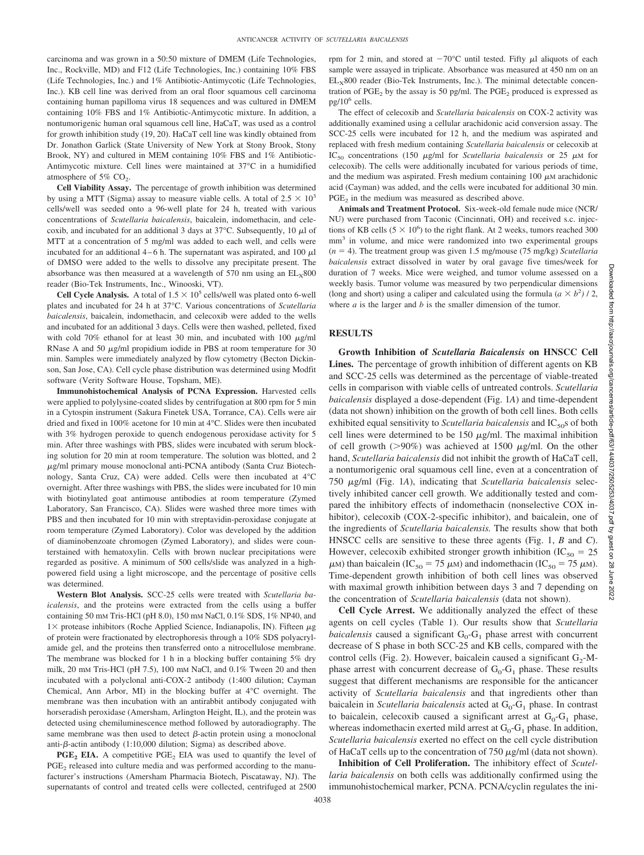carcinoma and was grown in a 50:50 mixture of DMEM (Life Technologies, Inc., Rockville, MD) and F12 (Life Technologies, Inc.) containing 10% FBS (Life Technologies, Inc.) and 1% Antibiotic-Antimycotic (Life Technologies, Inc.). KB cell line was derived from an oral floor squamous cell carcinoma containing human papilloma virus 18 sequences and was cultured in DMEM containing 10% FBS and 1% Antibiotic-Antimycotic mixture. In addition, a nontumorigenic human oral squamous cell line, HaCaT, was used as a control for growth inhibition study (19, 20). HaCaT cell line was kindly obtained from Dr. Jonathon Garlick (State University of New York at Stony Brook, Stony Brook, NY) and cultured in MEM containing 10% FBS and 1% Antibiotic-Antimycotic mixture. Cell lines were maintained at 37°C in a humidified atmosphere of  $5\%$  CO<sub>2</sub>.

**Cell Viability Assay.** The percentage of growth inhibition was determined by using a MTT (Sigma) assay to measure viable cells. A total of  $2.5 \times 10^3$ cells/well was seeded onto a 96-well plate for 24 h, treated with various concentrations of *Scutellaria baicalensis*, baicalein, indomethacin, and celecoxib, and incubated for an additional 3 days at 37 $\degree$ C. Subsequently, 10  $\mu$ l of MTT at a concentration of 5 mg/ml was added to each well, and cells were incubated for an additional  $4 - 6$  h. The supernatant was aspirated, and 100  $\mu$ l of DMSO were added to the wells to dissolve any precipitate present. The absorbance was then measured at a wavelength of 570 nm using an  $EL_x800$ reader (Bio-Tek Instruments, Inc., Winooski, VT).

**Cell Cycle Analysis.** A total of  $1.5 \times 10^5$  cells/well was plated onto 6-well plates and incubated for 24 h at 37°C. Various concentrations of *Scutellaria baicalensis*, baicalein, indomethacin, and celecoxib were added to the wells and incubated for an additional 3 days. Cells were then washed, pelleted, fixed with cold 70% ethanol for at least 30 min, and incubated with 100  $\mu$ g/ml RNase A and 50  $\mu$ g/ml propidium iodide in PBS at room temperature for 30 min. Samples were immediately analyzed by flow cytometry (Becton Dickinson, San Jose, CA). Cell cycle phase distribution was determined using Modfit software (Verity Software House, Topsham, ME).

**Immunohistochemical Analysis of PCNA Expression.** Harvested cells were applied to polylysine-coated slides by centrifugation at 800 rpm for 5 min in a Cytospin instrument (Sakura Finetek USA, Torrance, CA). Cells were air dried and fixed in 100% acetone for 10 min at 4°C. Slides were then incubated with 3% hydrogen peroxide to quench endogenous peroxidase activity for 5 min. After three washings with PBS, slides were incubated with serum blocking solution for 20 min at room temperature. The solution was blotted, and 2  $\mu$ g/ml primary mouse monoclonal anti-PCNA antibody (Santa Cruz Biotechnology, Santa Cruz, CA) were added. Cells were then incubated at 4°C overnight. After three washings with PBS, the slides were incubated for 10 min with biotinylated goat antimouse antibodies at room temperature (Zymed Laboratory, San Francisco, CA). Slides were washed three more times with PBS and then incubated for 10 min with streptavidin-peroxidase conjugate at room temperature (Zymed Laboratory). Color was developed by the addition of diaminobenzoate chromogen (Zymed Laboratory), and slides were counterstained with hematoxylin. Cells with brown nuclear precipitations were regarded as positive. A minimum of 500 cells/slide was analyzed in a highpowered field using a light microscope, and the percentage of positive cells was determined.

**Western Blot Analysis.** SCC-25 cells were treated with *Scutellaria baicalensis*, and the proteins were extracted from the cells using a buffer containing 50 mM Tris-HCl (pH 8.0), 150 mM NaCl, 0.1% SDS, 1% NP40, and  $1\times$  protease inhibitors (Roche Applied Science, Indianapolis, IN). Fifteen  $\mu$ g of protein were fractionated by electrophoresis through a 10% SDS polyacrylamide gel, and the proteins then transferred onto a nitrocellulose membrane. The membrane was blocked for 1 h in a blocking buffer containing 5% dry milk, 20 mM Tris-HCl (pH 7.5), 100 mM NaCl, and 0.1% Tween 20 and then incubated with a polyclonal anti-COX-2 antibody (1:400 dilution; Cayman Chemical, Ann Arbor, MI) in the blocking buffer at 4°C overnight. The membrane was then incubation with an antirabbit antibody conjugated with horseradish peroxidase (Amersham, Arlington Height, IL), and the protein was detected using chemiluminescence method followed by autoradiography. The same membrane was then used to detect  $\beta$ -actin protein using a monoclonal anti- $\beta$ -actin antibody (1:10,000 dilution; Sigma) as described above.

**PGE<sub>2</sub> EIA.** A competitive PGE<sub>2</sub> EIA was used to quantify the level of  $PGE<sub>2</sub>$  released into culture media and was performed according to the manufacturer's instructions (Amersham Pharmacia Biotech, Piscataway, NJ). The supernatants of control and treated cells were collected, centrifuged at 2500 rpm for 2 min, and stored at  $-70^{\circ}$ C until tested. Fifty  $\mu$ l aliquots of each sample were assayed in triplicate. Absorbance was measured at 450 nm on an  $EL<sub>x</sub>800$  reader (Bio-Tek Instruments, Inc.). The minimal detectable concentration of PGE<sub>2</sub> by the assay is 50 pg/ml. The PGE<sub>2</sub> produced is expressed as pg/106 cells.

The effect of celecoxib and *Scutellaria baicalensis* on COX-2 activity was additionally examined using a cellular arachidonic acid conversion assay. The SCC-25 cells were incubated for 12 h, and the medium was aspirated and replaced with fresh medium containing *Scutellaria baicalensis* or celecoxib at IC<sub>50</sub> concentrations (150  $\mu$ g/ml for *Scutellaria baicalensis* or 25  $\mu$ M for celecoxib). The cells were additionally incubated for various periods of time, and the medium was aspirated. Fresh medium containing  $100 \mu$ M arachidonic acid (Cayman) was added, and the cells were incubated for additional 30 min.  $PGE<sub>2</sub>$  in the medium was measured as described above.

**Animals and Treatment Protocol.** Six-week-old female nude mice (NCR/ NU) were purchased from Taconic (Cincinnati, OH) and received s.c. injections of KB cells  $(5 \times 10^6)$  to the right flank. At 2 weeks, tumors reached 300 mm3 in volume, and mice were randomized into two experimental groups  $(n = 4)$ . The treatment group was given 1.5 mg/mouse (75 mg/kg) *Scutellaria baicalensis* extract dissolved in water by oral gavage five times/week for duration of 7 weeks. Mice were weighed, and tumor volume assessed on a weekly basis. Tumor volume was measured by two perpendicular dimensions (long and short) using a caliper and calculated using the formula  $(a \times b^2)$  / 2, where *a* is the larger and *b* is the smaller dimension of the tumor.

## **RESULTS**

**Growth Inhibition of** *Scutellaria Baicalensis* **on HNSCC Cell Lines.** The percentage of growth inhibition of different agents on KB and SCC-25 cells was determined as the percentage of viable-treated cells in comparison with viable cells of untreated controls. *Scutellaria baicalensis* displayed a dose-dependent (Fig. 1*A*) and time-dependent (data not shown) inhibition on the growth of both cell lines. Both cells exhibited equal sensitivity to *Scutellaria baicalensis* and IC<sub>50</sub>s of both cell lines were determined to be  $150 \mu g/ml$ . The maximal inhibition of cell growth ( $>90\%$ ) was achieved at 1500  $\mu$ g/ml. On the other hand, *Scutellaria baicalensis* did not inhibit the growth of HaCaT cell, a nontumorigenic oral squamous cell line, even at a concentration of 750 g/ml (Fig. 1*A*), indicating that *Scutellaria baicalensis* selectively inhibited cancer cell growth. We additionally tested and compared the inhibitory effects of indomethacin (nonselective COX inhibitor), celecoxib (COX-2-specific inhibitor), and baicalein, one of the ingredients of *Scutellaria baicalensis.* The results show that both HNSCC cells are sensitive to these three agents (Fig. 1, *B* and *C*). However, celecoxib exhibited stronger growth inhibition (IC<sub>50</sub> = 25  $\mu$ M) than baicalein (IC<sub>50</sub> = 75  $\mu$ M) and indomethacin (IC<sub>50</sub> = 75  $\mu$ M). Time-dependent growth inhibition of both cell lines was observed with maximal growth inhibition between days 3 and 7 depending on the concentration of *Scutellaria baicalensis* (data not shown).

**Cell Cycle Arrest.** We additionally analyzed the effect of these agents on cell cycles (Table 1). Our results show that *Scutellaria baicalensis* caused a significant  $G_0$ - $G_1$  phase arrest with concurrent decrease of S phase in both SCC-25 and KB cells, compared with the control cells (Fig. 2). However, baicalein caused a significant  $G_2$ -Mphase arrest with concurrent decrease of  $G_0-G_1$  phase. These results suggest that different mechanisms are responsible for the anticancer activity of *Scutellaria baicalensis* and that ingredients other than baicalein in *Scutellaria baicalensis* acted at G<sub>0</sub>-G<sub>1</sub> phase. In contrast to baicalein, celecoxib caused a significant arrest at  $G_0-G_1$  phase, whereas indomethacin exerted mild arrest at  $G_0$ - $G_1$  phase. In addition, *Scutellaria baicalensis* exerted no effect on the cell cycle distribution of HaCaT cells up to the concentration of 750  $\mu$ g/ml (data not shown).

**Inhibition of Cell Proliferation.** The inhibitory effect of *Scutellaria baicalensis* on both cells was additionally confirmed using the immunohistochemical marker, PCNA. PCNA/cyclin regulates the ini-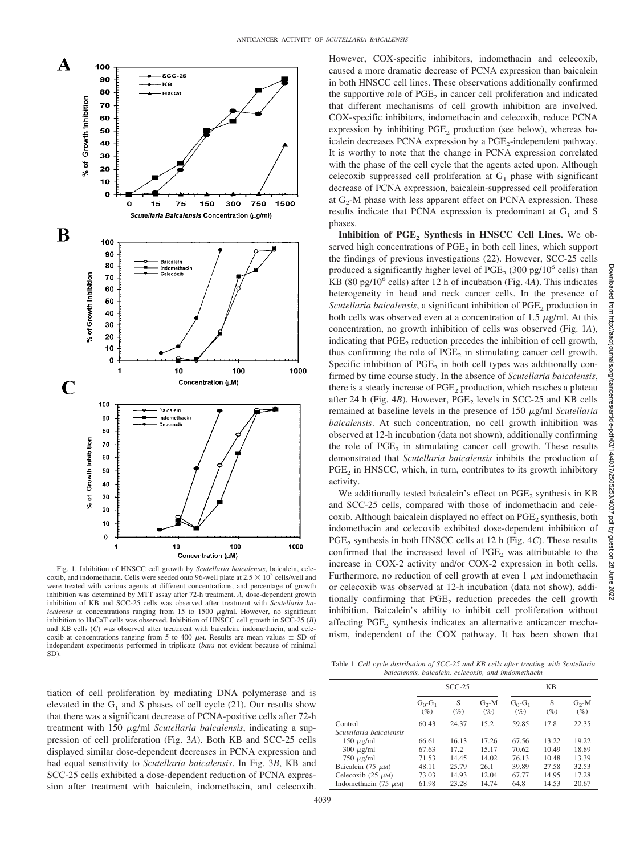

Fig. 1. Inhibition of HNSCC cell growth by *Scutellaria baicalensis*, baicalein, celecoxib, and indomethacin. Cells were seeded onto 96-well plate at  $2.5 \times 10^3$  cells/well and were treated with various agents at different concentrations, and percentage of growth inhibition was determined by MTT assay after 72-h treatment. *A*, dose-dependent growth inhibition of KB and SCC-25 cells was observed after treatment with *Scutellaria ba* $i$ calensis at concentrations ranging from 15 to 1500  $\mu$ g/ml. However, no significant inhibition to HaCaT cells was observed. Inhibition of HNSCC cell growth in SCC-25 (*B*) and KB cells (*C*) was observed after treatment with baicalein, indomethacin, and celecoxib at concentrations ranging from 5 to 400  $\mu$ M. Results are mean values  $\pm$  SD of independent experiments performed in triplicate (*bars* not evident because of minimal SD).

However, COX-specific inhibitors, indomethacin and celecoxib, caused a more dramatic decrease of PCNA expression than baicalein in both HNSCC cell lines. These observations additionally confirmed the supportive role of  $PGE<sub>2</sub>$  in cancer cell proliferation and indicated that different mechanisms of cell growth inhibition are involved. COX-specific inhibitors, indomethacin and celecoxib, reduce PCNA expression by inhibiting  $PGE<sub>2</sub>$  production (see below), whereas baicalein decreases PCNA expression by a PGE<sub>2</sub>-independent pathway. It is worthy to note that the change in PCNA expression correlated with the phase of the cell cycle that the agents acted upon. Although celecoxib suppressed cell proliferation at  $G_1$  phase with significant decrease of PCNA expression, baicalein-suppressed cell proliferation at  $G_2$ -M phase with less apparent effect on PCNA expression. These results indicate that PCNA expression is predominant at  $G_1$  and S phases.

**Inhibition of PGE<sub>2</sub> Synthesis in HNSCC Cell Lines.** We observed high concentrations of  $PGE<sub>2</sub>$  in both cell lines, which support the findings of previous investigations (22). However, SCC-25 cells produced a significantly higher level of PGE<sub>2</sub> (300 pg/ $10^6$  cells) than KB (80 pg/106 cells) after 12 h of incubation (Fig. 4*A*). This indicates heterogeneity in head and neck cancer cells. In the presence of *Scutellaria baicalensis*, a significant inhibition of PGE<sub>2</sub> production in both cells was observed even at a concentration of 1.5  $\mu$ g/ml. At this concentration, no growth inhibition of cells was observed (Fig. 1*A*), indicating that PGE<sub>2</sub> reduction precedes the inhibition of cell growth, thus confirming the role of  $PGE<sub>2</sub>$  in stimulating cancer cell growth. Specific inhibition of  $PGE<sub>2</sub>$  in both cell types was additionally confirmed by time course study. In the absence of *Scutellaria baicalensis*, there is a steady increase of  $PGE<sub>2</sub>$  production, which reaches a plateau after 24 h (Fig.  $4B$ ). However, PGE<sub>2</sub> levels in SCC-25 and KB cells remained at baseline levels in the presence of 150 µg/ml *Scutellaria baicalensis*. At such concentration, no cell growth inhibition was observed at 12-h incubation (data not shown), additionally confirming the role of  $PGE<sub>2</sub>$  in stimulating cancer cell growth. These results demonstrated that *Scutellaria baicalensis* inhibits the production of  $PGE<sub>2</sub>$  in HNSCC, which, in turn, contributes to its growth inhibitory activity.

We additionally tested baicalein's effect on  $PGE<sub>2</sub>$  synthesis in KB and SCC-25 cells, compared with those of indomethacin and celecoxib. Although baicalein displayed no effect on PGE<sub>2</sub> synthesis, both indomethacin and celecoxib exhibited dose-dependent inhibition of PGE<sub>2</sub> synthesis in both HNSCC cells at 12 h (Fig. 4*C*). These results confirmed that the increased level of  $PGE<sub>2</sub>$  was attributable to the increase in COX-2 activity and/or COX-2 expression in both cells. Furthermore, no reduction of cell growth at even  $1 \mu$ M indomethacin or celecoxib was observed at 12-h incubation (data not show), additionally confirming that PGE<sub>2</sub> reduction precedes the cell growth inhibition. Baicalein's ability to inhibit cell proliferation without affecting PGE<sub>2</sub> synthesis indicates an alternative anticancer mechanism, independent of the COX pathway. It has been shown that

tiation of cell proliferation by mediating DNA polymerase and is elevated in the  $G_1$  and S phases of cell cycle (21). Our results show that there was a significant decrease of PCNA-positive cells after 72-h treatment with 150  $\mu$ g/ml *Scutellaria baicalensis*, indicating a suppression of cell proliferation (Fig. 3*A*). Both KB and SCC-25 cells displayed similar dose-dependent decreases in PCNA expression and had equal sensitivity to *Scutellaria baicalensis*. In Fig. 3*B*, KB and SCC-25 cells exhibited a dose-dependent reduction of PCNA expression after treatment with baicalein, indomethacin, and celecoxib.

Table 1 *Cell cycle distribution of SCC-25 and KB cells after treating with Scutellaria baicalensis, baicalein, celecoxib, and imdomethacin*

|                           | $SCC-25$            |             |                    | KB                      |             |                    |
|---------------------------|---------------------|-------------|--------------------|-------------------------|-------------|--------------------|
|                           | $G_0-G_1$<br>$(\%)$ | S<br>$(\%)$ | $G_2$ -M<br>$(\%)$ | $G_0$ - $G_1$<br>$(\%)$ | S<br>$(\%)$ | $G_2$ -M<br>$(\%)$ |
| Control                   | 60.43               | 24.37       | 15.2               | 59.85                   | 17.8        | 22.35              |
| Scutellaria baicalensis   |                     |             |                    |                         |             |                    |
| $150 \mu g/ml$            | 66.61               | 16.13       | 17.26              | 67.56                   | 13.22       | 19.22              |
| $300 \mu g/ml$            | 67.63               | 17.2        | 15.17              | 70.62                   | 10.49       | 18.89              |
| $750 \mu g/ml$            | 71.53               | 14.45       | 14.02              | 76.13                   | 10.48       | 13.39              |
| Baicalein $(75 \mu M)$    | 48.11               | 25.79       | 26.1               | 39.89                   | 27.58       | 32.53              |
| Celecoxib $(25 \mu M)$    | 73.03               | 14.93       | 12.04              | 67.77                   | 14.95       | 17.28              |
| Indomethacin (75 $\mu$ M) | 61.98               | 23.28       | 14.74              | 64.8                    | 14.53       | 20.67              |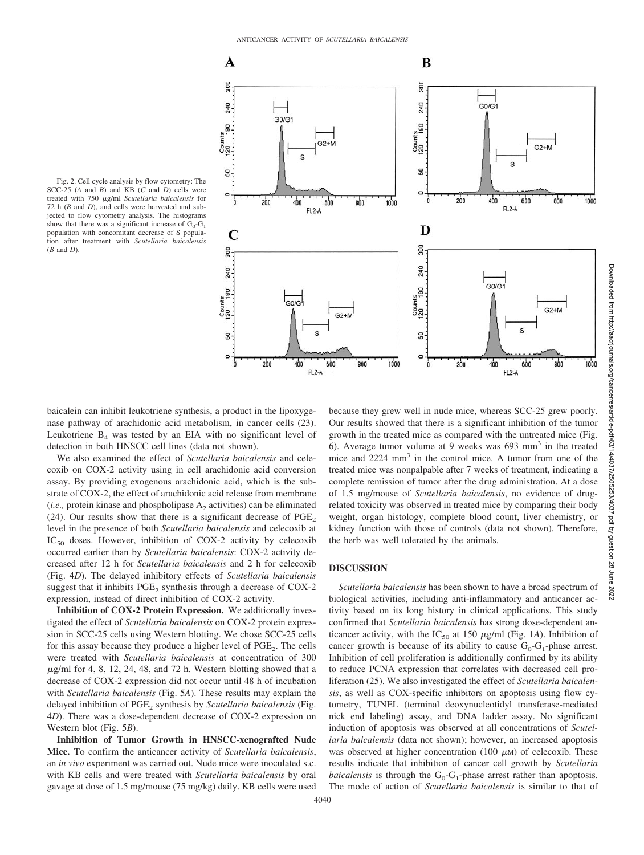

Fig. 2. Cell cycle analysis by flow cytometry: The SCC-25 (*A* and *B*) and KB (*C* and *D*) cells were treated with 750  $\mu$ g/ml *Scutellaria baicalensis* for 72 h (*B* and *D*), and cells were harvested and subjected to flow cytometry analysis. The histograms show that there was a significant increase of  $G_0-G_1$ population with concomitant decrease of S population after treatment with *Scutellaria baicalensis* (*B* and *D*).

baicalein can inhibit leukotriene synthesis, a product in the lipoxygenase pathway of arachidonic acid metabolism, in cancer cells (23). Leukotriene  $B_4$  was tested by an EIA with no significant level of detection in both HNSCC cell lines (data not shown).

We also examined the effect of *Scutellaria baicalensis* and celecoxib on COX-2 activity using in cell arachidonic acid conversion assay. By providing exogenous arachidonic acid, which is the substrate of COX-2, the effect of arachidonic acid release from membrane  $(i.e., protein kinase and phospholipase A<sub>2</sub> activities) can be eliminated$ (24). Our results show that there is a significant decrease of  $PGE<sub>2</sub>$ level in the presence of both *Scutellaria baicalensis* and celecoxib at  $IC_{50}$  doses. However, inhibition of COX-2 activity by celecoxib occurred earlier than by *Scutellaria baicalensis*: COX-2 activity decreased after 12 h for *Scutellaria baicalensis* and 2 h for celecoxib (Fig. 4*D*). The delayed inhibitory effects of *Scutellaria baicalensis* suggest that it inhibits  $PGE_2$  synthesis through a decrease of COX-2 expression, instead of direct inhibition of COX-2 activity.

**Inhibition of COX-2 Protein Expression.** We additionally investigated the effect of *Scutellaria baicalensis* on COX-2 protein expression in SCC-25 cells using Western blotting. We chose SCC-25 cells for this assay because they produce a higher level of PGE<sub>2</sub>. The cells were treated with *Scutellaria baicalensis* at concentration of 300  $\mu$ g/ml for 4, 8, 12, 24, 48, and 72 h. Western blotting showed that a decrease of COX-2 expression did not occur until 48 h of incubation with *Scutellaria baicalensis* (Fig. 5*A*). These results may explain the delayed inhibition of PGE<sub>2</sub> synthesis by *Scutellaria baicalensis* (Fig. 4*D*). There was a dose-dependent decrease of COX-2 expression on Western blot (Fig. 5*B*).

**Inhibition of Tumor Growth in HNSCC-xenografted Nude Mice.** To confirm the anticancer activity of *Scutellaria baicalensis*, an *in vivo* experiment was carried out. Nude mice were inoculated s.c. with KB cells and were treated with *Scutellaria baicalensis* by oral gavage at dose of 1.5 mg/mouse (75 mg/kg) daily. KB cells were used

because they grew well in nude mice, whereas SCC-25 grew poorly. Our results showed that there is a significant inhibition of the tumor growth in the treated mice as compared with the untreated mice (Fig. 6). Average tumor volume at 9 weeks was  $693 \text{ mm}^3$  in the treated mice and 2224 mm<sup>3</sup> in the control mice. A tumor from one of the treated mice was nonpalpable after 7 weeks of treatment, indicating a complete remission of tumor after the drug administration. At a dose of 1.5 mg/mouse of *Scutellaria baicalensis*, no evidence of drugrelated toxicity was observed in treated mice by comparing their body weight, organ histology, complete blood count, liver chemistry, or kidney function with those of controls (data not shown). Therefore, the herb was well tolerated by the animals.

#### **DISCUSSION**

*Scutellaria baicalensis* has been shown to have a broad spectrum of biological activities, including anti-inflammatory and anticancer activity based on its long history in clinical applications. This study confirmed that *Scutellaria baicalensis* has strong dose-dependent anticancer activity, with the IC<sub>50</sub> at 150  $\mu$ g/ml (Fig. 1*A*). Inhibition of cancer growth is because of its ability to cause  $G_0-G_1$ -phase arrest. Inhibition of cell proliferation is additionally confirmed by its ability to reduce PCNA expression that correlates with decreased cell proliferation (25). We also investigated the effect of *Scutellaria baicalensis*, as well as COX-specific inhibitors on apoptosis using flow cytometry, TUNEL (terminal deoxynucleotidyl transferase-mediated nick end labeling) assay, and DNA ladder assay. No significant induction of apoptosis was observed at all concentrations of *Scutellaria baicalensis* (data not shown); however, an increased apoptosis was observed at higher concentration (100  $\mu$ M) of celecoxib. These results indicate that inhibition of cancer cell growth by *Scutellaria baicalensis* is through the  $G_0$ - $G_1$ -phase arrest rather than apoptosis. The mode of action of *Scutellaria baicalensis* is similar to that of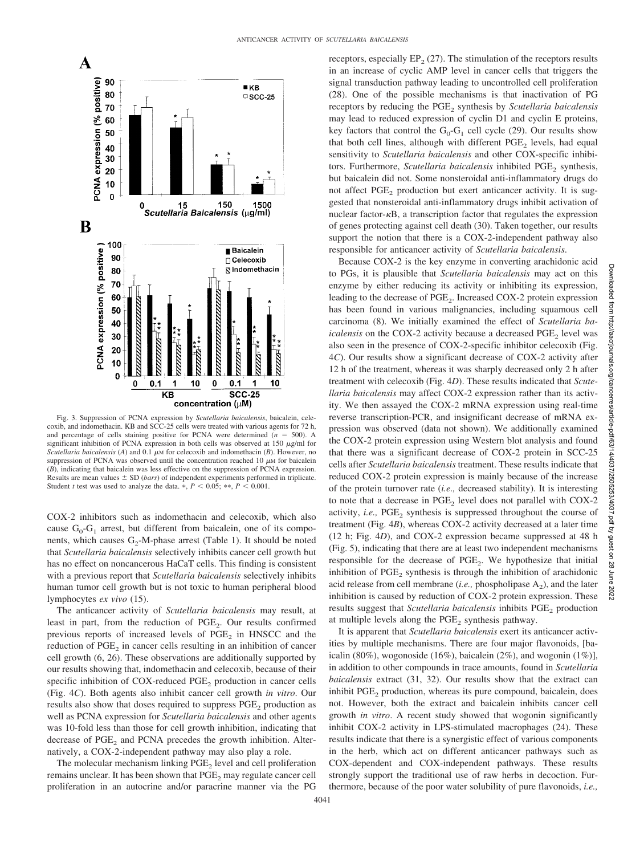

Fig. 3. Suppression of PCNA expression by *Scutellaria baicalensis*, baicalein, celecoxib, and indomethacin. KB and SCC-25 cells were treated with various agents for 72 h, and percentage of cells staining positive for PCNA were determined  $(n = 500)$ . A significant inhibition of PCNA expression in both cells was observed at 150  $\mu$ g/ml for *Scutellaria baicalensis* ( $A$ ) and  $0.1 \mu$ M for celecoxib and indomethacin ( $B$ ). However, no suppression of PCNA was observed until the concentration reached 10  $\mu$ M for baicalein (*B*), indicating that baicalein was less effective on the suppression of PCNA expression. Results are mean values  $\pm$  SD (*bars*) of independent experiments performed in triplicate. Student *t* test was used to analyze the data.  $\ast$ ,  $P < 0.05$ ;  $\ast \ast$ ,  $P < 0.001$ .

COX-2 inhibitors such as indomethacin and celecoxib, which also cause  $G_0$ - $G_1$  arrest, but different from baicalein, one of its components, which causes  $G_2$ -M-phase arrest (Table 1). It should be noted that *Scutellaria baicalensis* selectively inhibits cancer cell growth but has no effect on noncancerous HaCaT cells. This finding is consistent with a previous report that *Scutellaria baicalensis* selectively inhibits human tumor cell growth but is not toxic to human peripheral blood lymphocytes *ex vivo* (15).

The anticancer activity of *Scutellaria baicalensis* may result, at least in part, from the reduction of PGE<sub>2</sub>. Our results confirmed previous reports of increased levels of  $PGE<sub>2</sub>$  in HNSCC and the reduction of  $PGE<sub>2</sub>$  in cancer cells resulting in an inhibition of cancer cell growth (6, 26). These observations are additionally supported by our results showing that, indomethacin and celecoxib, because of their specific inhibition of  $COX$ -reduced  $PGE<sub>2</sub>$  production in cancer cells (Fig. 4*C*). Both agents also inhibit cancer cell growth *in vitro*. Our results also show that doses required to suppress  $PGE<sub>2</sub>$  production as well as PCNA expression for *Scutellaria baicalensis* and other agents was 10-fold less than those for cell growth inhibition, indicating that decrease of PGE<sub>2</sub> and PCNA precedes the growth inhibition. Alternatively, a COX-2-independent pathway may also play a role.

The molecular mechanism linking PGE<sub>2</sub> level and cell proliferation remains unclear. It has been shown that  $PGE<sub>2</sub>$  may regulate cancer cell proliferation in an autocrine and/or paracrine manner via the PG

receptors, especially  $EP_2$  (27). The stimulation of the receptors results in an increase of cyclic AMP level in cancer cells that triggers the signal transduction pathway leading to uncontrolled cell proliferation (28). One of the possible mechanisms is that inactivation of PG receptors by reducing the PGE<sub>2</sub> synthesis by *Scutellaria baicalensis* may lead to reduced expression of cyclin D1 and cyclin E proteins, key factors that control the  $G_0-G_1$  cell cycle (29). Our results show that both cell lines, although with different  $PGE<sub>2</sub>$  levels, had equal sensitivity to *Scutellaria baicalensis* and other COX-specific inhibitors. Furthermore, *Scutellaria baicalensis* inhibited PGE<sub>2</sub> synthesis, but baicalein did not. Some nonsteroidal anti-inflammatory drugs do not affect PGE<sub>2</sub> production but exert anticancer activity. It is suggested that nonsteroidal anti-inflammatory drugs inhibit activation of nuclear factor- $\kappa$ B, a transcription factor that regulates the expression of genes protecting against cell death (30). Taken together, our results support the notion that there is a COX-2-independent pathway also responsible for anticancer activity of *Scutellaria baicalensis*.

Because COX-2 is the key enzyme in converting arachidonic acid to PGs, it is plausible that *Scutellaria baicalensis* may act on this enzyme by either reducing its activity or inhibiting its expression, leading to the decrease of PGE<sub>2</sub>. Increased COX-2 protein expression has been found in various malignancies, including squamous cell carcinoma (8). We initially examined the effect of *Scutellaria baicalensis* on the COX-2 activity because a decreased PGE<sub>2</sub> level was also seen in the presence of COX-2-specific inhibitor celecoxib (Fig. 4*C*). Our results show a significant decrease of COX-2 activity after 12 h of the treatment, whereas it was sharply decreased only 2 h after treatment with celecoxib (Fig. 4*D*). These results indicated that *Scutellaria baicalensis* may affect COX-2 expression rather than its activity. We then assayed the COX-2 mRNA expression using real-time reverse transcription-PCR, and insignificant decrease of mRNA expression was observed (data not shown). We additionally examined the COX-2 protein expression using Western blot analysis and found that there was a significant decrease of COX-2 protein in SCC-25 cells after *Scutellaria baicalensis* treatment. These results indicate that reduced COX-2 protein expression is mainly because of the increase of the protein turnover rate (*i.e.,* decreased stability). It is interesting to note that a decrease in  $PGE<sub>2</sub>$  level does not parallel with COX-2 activity, *i.e.*, PGE<sub>2</sub> synthesis is suppressed throughout the course of treatment (Fig. 4*B*), whereas COX-2 activity decreased at a later time (12 h; Fig. 4*D*), and COX-2 expression became suppressed at 48 h (Fig. 5), indicating that there are at least two independent mechanisms responsible for the decrease of  $PGE_2$ . We hypothesize that initial inhibition of  $PGE_2$  synthesis is through the inhibition of arachidonic acid release from cell membrane  $(i.e.,$  phospholipase  $A_2$ ), and the later inhibition is caused by reduction of COX-2 protein expression. These results suggest that *Scutellaria baicalensis* inhibits PGE<sub>2</sub> production at multiple levels along the  $PGE<sub>2</sub>$  synthesis pathway.

It is apparent that *Scutellaria baicalensis* exert its anticancer activities by multiple mechanisms. There are four major flavonoids, [baicalin (80%), wogonoside (16%), baicalein (2%), and wogonin (1%)], in addition to other compounds in trace amounts, found in *Scutellaria baicalensis* extract (31, 32). Our results show that the extract can inhibit PGE<sub>2</sub> production, whereas its pure compound, baicalein, does not. However, both the extract and baicalein inhibits cancer cell growth *in vitro*. A recent study showed that wogonin significantly inhibit COX-2 activity in LPS-stimulated macrophages (24). These results indicate that there is a synergistic effect of various components in the herb, which act on different anticancer pathways such as COX-dependent and COX-independent pathways. These results strongly support the traditional use of raw herbs in decoction. Furthermore, because of the poor water solubility of pure flavonoids, *i.e.,*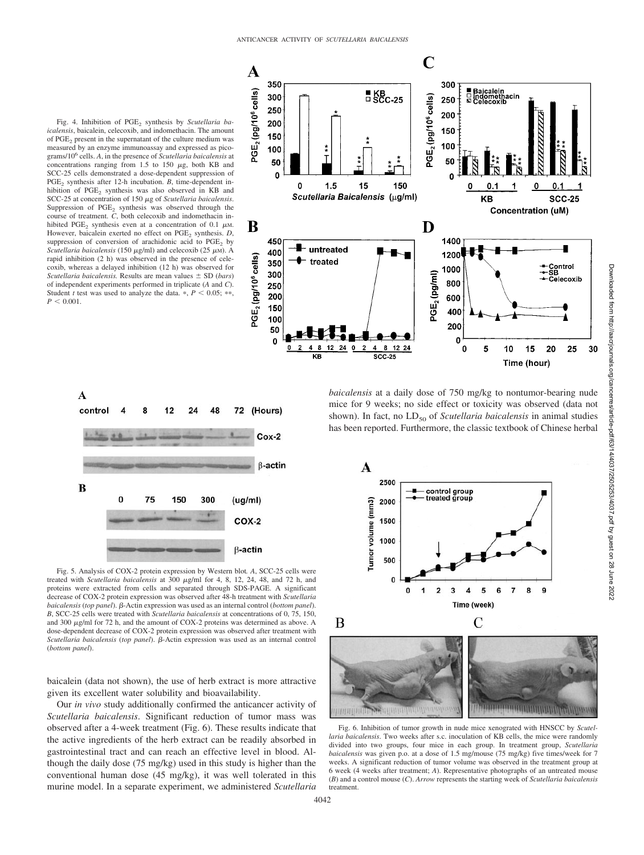Fig. 4. Inhibition of PGE<sub>2</sub> synthesis by *Scutellaria baicalensis*, baicalein, celecoxib, and indomethacin. The amount of PGE<sub>2</sub> present in the supernatant of the culture medium was measured by an enzyme immunoassay and expressed as picograms/10<sup>6</sup> cells. *A*, in the presence of *Scutellaria baicalensis* at concentrations ranging from 1.5 to 150  $\mu$ g, both KB and SCC-25 cells demonstrated a dose-dependent suppression of PGE<sub>2</sub> synthesis after 12-h incubation. *B*, time-dependent inhibition of PGE<sub>2</sub> synthesis was also observed in KB and SCC-25 at concentration of 150  $\mu$ g of *Scutellaria baicalensis*. Suppression of  $PGE_2$  synthesis was observed through the course of treatment. *C*, both celecoxib and indomethacin inhibited PGE<sub>2</sub> synthesis even at a concentration of  $0.1 \mu M$ . However, baicalein exerted no effect on PGE<sub>2</sub> synthesis. *D*, suppression of conversion of arachidonic acid to PGE<sub>2</sub> by *Scutellaria baicalensis* (150 μg/ml) and celecoxib (25 μM). A rapid inhibition (2 h) was observed in the presence of celecoxib, whereas a delayed inhibition (12 h) was observed for *Scutellaria baicalensis.* Results are mean values  $\pm$  SD (*bars*) of independent experiments performed in triplicate (*A* and *C*). Student *t* test was used to analyze the data.  $P < 0.05$ ; \*\*  $P < 0.001$ .





Fig. 5. Analysis of COX-2 protein expression by Western blot*. A*, SCC-25 cells were treated with *Scutellaria baicalensis* at 300  $\mu$ g/ml for 4, 8, 12, 24, 48, and 72 h, and proteins were extracted from cells and separated through SDS-PAGE. A significant decrease of COX-2 protein expression was observed after 48-h treatment with *Scutellaria* baicalensis (top panel). β-Actin expression was used as an internal control (bottom panel). *B*, SCC-25 cells were treated with *Scutellaria baicalensis* at concentrations of 0, 75, 150, and 300  $\mu$ g/ml for 72 h, and the amount of COX-2 proteins was determined as above. A dose-dependent decrease of COX-2 protein expression was observed after treatment with Scutellaria baicalensis (top panel). β-Actin expression was used as an internal control (*bottom panel*).

baicalein (data not shown), the use of herb extract is more attractive given its excellent water solubility and bioavailability.

Our *in vivo* study additionally confirmed the anticancer activity of *Scutellaria baicalensis*. Significant reduction of tumor mass was observed after a 4-week treatment (Fig. 6). These results indicate that the active ingredients of the herb extract can be readily absorbed in gastrointestinal tract and can reach an effective level in blood. Although the daily dose (75 mg/kg) used in this study is higher than the conventional human dose (45 mg/kg), it was well tolerated in this murine model. In a separate experiment, we administered *Scutellaria*

*baicalensis* at a daily dose of 750 mg/kg to nontumor-bearing nude mice for 9 weeks; no side effect or toxicity was observed (data not shown). In fact, no LD<sub>50</sub> of *Scutellaria baicalensis* in animal studies has been reported. Furthermore, the classic textbook of Chinese herbal



Fig. 6. Inhibition of tumor growth in nude mice xenograted with HNSCC by *Scutellaria baicalensis*. Two weeks after s.c. inoculation of KB cells, the mice were randomly divided into two groups, four mice in each group. In treatment group, *Scutellaria baicalensis* was given p.o. at a dose of 1.5 mg/mouse (75 mg/kg) five times/week for 7 weeks. A significant reduction of tumor volume was observed in the treatment group at 6 week (4 weeks after treatment; *A*). Representative photographs of an untreated mouse (*B*) and a control mouse (*C*). *Arrow* represents the starting week of *Scutellaria baicalensis* treatment.

<u> manifikanin manifikanin manifikan</u>